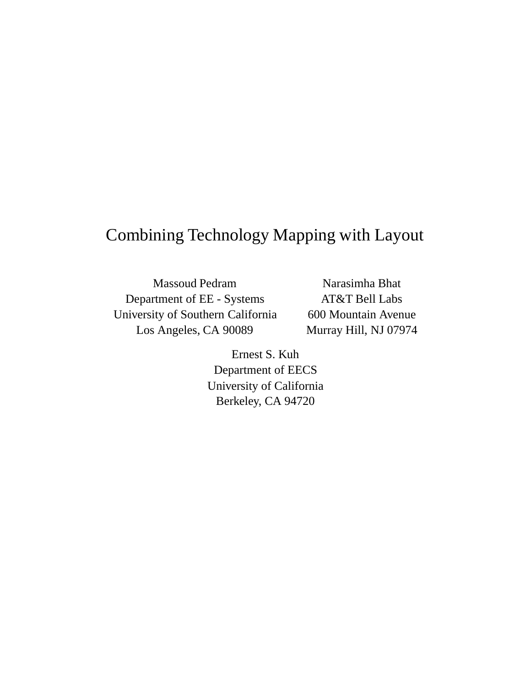# Combining Technology Mapping with Layout

Massoud Pedram Department of EE - Systems University of Southern California Los Angeles, CA 90089

Narasimha Bhat AT&T Bell Labs 600 Mountain Avenue Murray Hill, NJ 07974

Ernest S. Kuh Department of EECS University of California Berkeley, CA 94720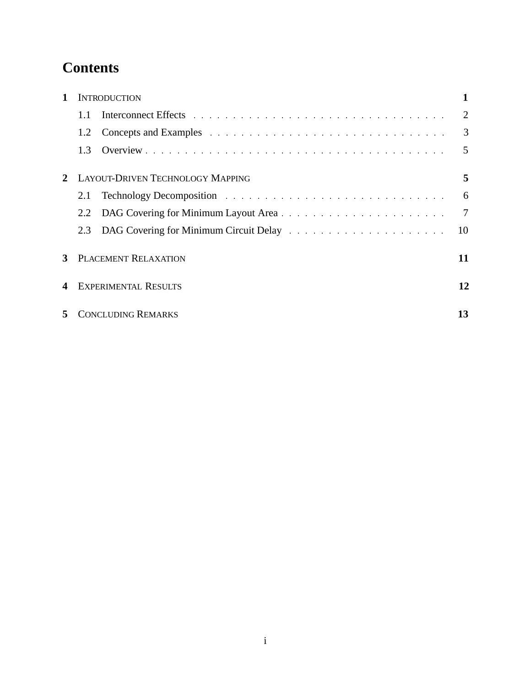# **Contents**

| 1            |                             | <b>INTRODUCTION</b>                     |                |  |  |
|--------------|-----------------------------|-----------------------------------------|----------------|--|--|
|              | 1.1                         |                                         | 2              |  |  |
|              | 1.2                         |                                         | 3              |  |  |
|              | 1.3                         |                                         | .5             |  |  |
| $\mathbf{2}$ |                             | <b>LAYOUT-DRIVEN TECHNOLOGY MAPPING</b> | 5              |  |  |
|              | 2.1                         |                                         | 6              |  |  |
|              | 2.2                         |                                         | $\overline{7}$ |  |  |
|              | 2.3                         |                                         | 10             |  |  |
| 3            | <b>PLACEMENT RELAXATION</b> |                                         |                |  |  |
| 4            |                             | <b>EXPERIMENTAL RESULTS</b>             | 12             |  |  |
| 5            |                             | <b>CONCLUDING REMARKS</b>               | 13             |  |  |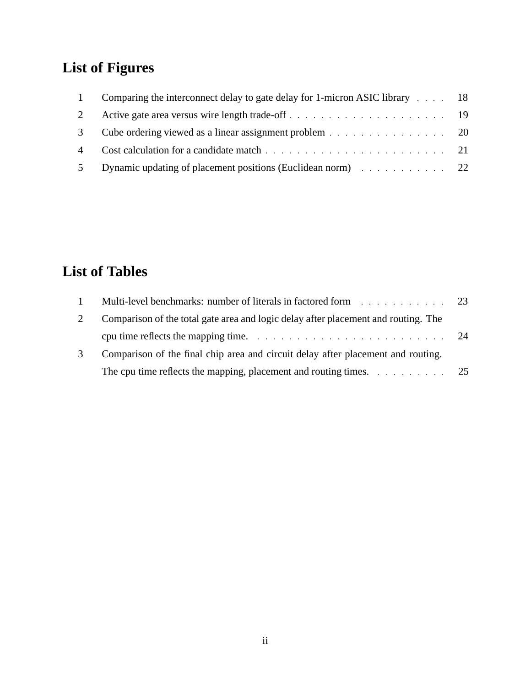# **List of Figures**

| $\mathbf{1}$   | Comparing the interconnect delay to gate delay for 1-micron ASIC library  18                                                                                                                                                   |  |
|----------------|--------------------------------------------------------------------------------------------------------------------------------------------------------------------------------------------------------------------------------|--|
| 2              |                                                                                                                                                                                                                                |  |
| 3 <sup>7</sup> | Cube ordering viewed as a linear assignment problem 20                                                                                                                                                                         |  |
|                | 4 Cost calculation for a candidate match enterstanding to the cost of the cost of the cost of the cost of the cost of the cost of the cost of the cost of the cost of the cost of the cost of the cost of the cost of the cost |  |
| 5 <sup>5</sup> | Dynamic updating of placement positions (Euclidean norm) 22                                                                                                                                                                    |  |

# **List of Tables**

|   | Multi-level benchmarks: number of literals in factored form 23                         |  |
|---|----------------------------------------------------------------------------------------|--|
| 2 | Comparison of the total gate area and logic delay after placement and routing. The     |  |
|   | cpu time reflects the mapping time.                                                    |  |
|   | Comparison of the final chip area and circuit delay after placement and routing.       |  |
|   | The cpu time reflects the mapping, placement and routing times. $\ldots$ . $\ldots$ 25 |  |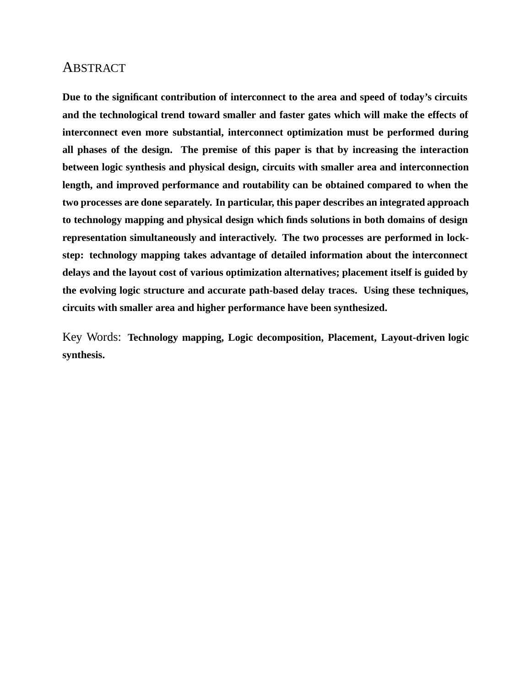### ABSTRACT

**Due to the significant contribution of interconnect to the area and speed of today's circuits and the technological trend toward smaller and faster gates which will make the effects of interconnect even more substantial, interconnect optimization must be performed during all phases of the design. The premise of this paper is that by increasing the interaction between logic synthesis and physical design, circuits with smaller area and interconnection length, and improved performance and routability can be obtained compared to when the two processes are done separately. In particular, this paper describes an integrated approach to technology mapping and physical design which finds solutions in both domains of design representation simultaneously and interactively. The two processes are performed in lockstep: technology mapping takes advantage of detailed information about the interconnect delays and the layout cost of various optimization alternatives; placement itself is guided by the evolving logic structure and accurate path-based delay traces. Using these techniques, circuits with smaller area and higher performance have been synthesized.**

Key Words: **Technology mapping, Logic decomposition, Placement, Layout-driven logic synthesis.**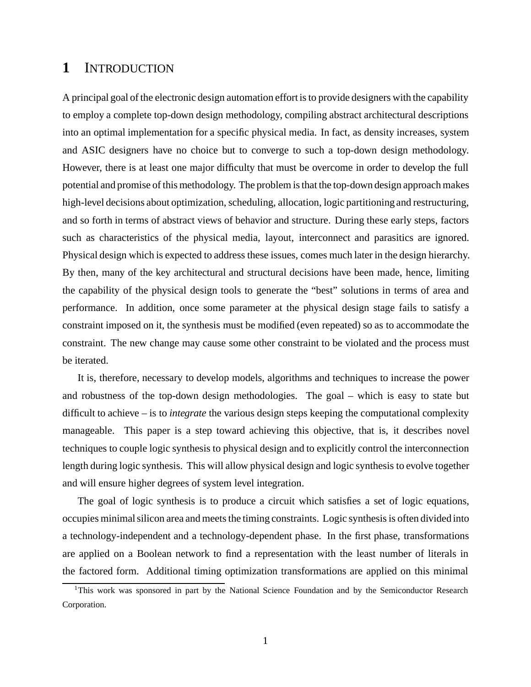## **1** INTRODUCTION

A principal goal of the electronic design automation effort is to provide designers with the capability to employ a complete top-down design methodology, compiling abstract architectural descriptions into an optimal implementation for a specific physical media. In fact, as density increases, system and ASIC designers have no choice but to converge to such a top-down design methodology. However, there is at least one major difficulty that must be overcome in order to develop the full potential and promise of this methodology. The problem is that the top-down design approach makes high-level decisions about optimization, scheduling, allocation, logic partitioning and restructuring, and so forth in terms of abstract views of behavior and structure. During these early steps, factors such as characteristics of the physical media, layout, interconnect and parasitics are ignored. Physical design which is expected to address these issues, comes much later in the design hierarchy. By then, many of the key architectural and structural decisions have been made, hence, limiting the capability of the physical design tools to generate the "best" solutions in terms of area and performance. In addition, once some parameter at the physical design stage fails to satisfy a constraint imposed on it, the synthesis must be modified (even repeated) so as to accommodate the constraint. The new change may cause some other constraint to be violated and the process must be iterated.

It is, therefore, necessary to develop models, algorithms and techniques to increase the power and robustness of the top-down design methodologies. The goal – which is easy to state but difficult to achieve – is to *integrate* the various design steps keeping the computational complexity manageable. This paper is a step toward achieving this objective, that is, it describes novel techniques to couple logic synthesis to physical design and to explicitly control the interconnection length during logic synthesis. This will allow physical design and logic synthesis to evolve together and will ensure higher degrees of system level integration.

The goal of logic synthesis is to produce a circuit which satisfies a set of logic equations, occupies minimal silicon area and meets the timing constraints. Logic synthesis is often divided into a technology-independent and a technology-dependent phase. In the first phase, transformations are applied on a Boolean network to find a representation with the least number of literals in the factored form. Additional timing optimization transformations are applied on this minimal

<sup>&</sup>lt;sup>1</sup>This work was sponsored in part by the National Science Foundation and by the Semiconductor Research Corporation.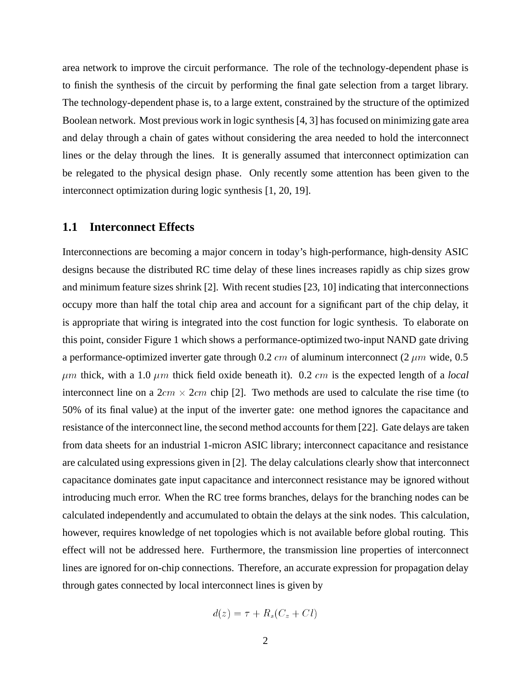area network to improve the circuit performance. The role of the technology-dependent phase is to finish the synthesis of the circuit by performing the final gate selection from a target library. The technology-dependent phase is, to a large extent, constrained by the structure of the optimized Boolean network. Most previous work in logic synthesis [4, 3] has focused on minimizing gate area and delay through a chain of gates without considering the area needed to hold the interconnect lines or the delay through the lines. It is generally assumed that interconnect optimization can be relegated to the physical design phase. Only recently some attention has been given to the interconnect optimization during logic synthesis [1, 20, 19].

#### **1.1 Interconnect Effects**

Interconnections are becoming a major concern in today's high-performance, high-density ASIC designs because the distributed RC time delay of these lines increases rapidly as chip sizes grow and minimum feature sizes shrink [2]. With recent studies [23, 10] indicating that interconnections occupy more than half the total chip area and account for a significant part of the chip delay, it is appropriate that wiring is integrated into the cost function for logic synthesis. To elaborate on this point, consider Figure 1 which shows a performance-optimized two-input NAND gate driving a performance-optimized inverter gate through 0.2  $cm$  of aluminum interconnect (2  $\mu m$  wide, 0.5  $\mu$ m thick, with a 1.0  $\mu$ m thick field oxide beneath it). 0.2 cm is the expected length of a *local* interconnect line on a  $2cm \times 2cm$  chip [2]. Two methods are used to calculate the rise time (to 50% of its final value) at the input of the inverter gate: one method ignores the capacitance and resistance of the interconnect line, the second method accounts for them [22]. Gate delays are taken from data sheets for an industrial 1-micron ASIC library; interconnect capacitance and resistance are calculated using expressions given in [2]. The delay calculations clearly show that interconnect capacitance dominates gate input capacitance and interconnect resistance may be ignored without introducing much error. When the RC tree forms branches, delays for the branching nodes can be calculated independently and accumulated to obtain the delays at the sink nodes. This calculation, however, requires knowledge of net topologies which is not available before global routing. This effect will not be addressed here. Furthermore, the transmission line properties of interconnect lines are ignored for on-chip connections. Therefore, an accurate expression for propagation delay through gates connected by local interconnect lines is given by

$$
d(z) = \tau + R_s(C_z + Cl)
$$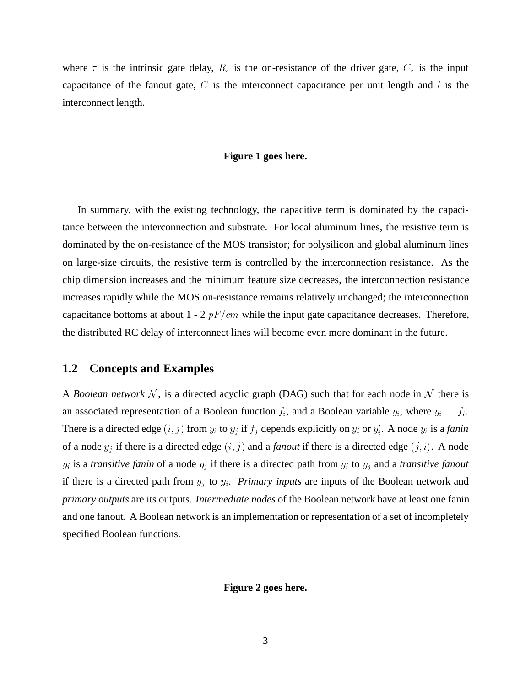where  $\tau$  is the intrinsic gate delay,  $R_s$  is the on-resistance of the driver gate,  $C_z$  is the input capacitance of the fanout gate,  $C$  is the interconnect capacitance per unit length and  $l$  is the interconnect length.

#### **Figure 1 goes here.**

In summary, with the existing technology, the capacitive term is dominated by the capacitance between the interconnection and substrate. For local aluminum lines, the resistive term is dominated by the on-resistance of the MOS transistor; for polysilicon and global aluminum lines on large-size circuits, the resistive term is controlled by the interconnection resistance. As the chip dimension increases and the minimum feature size decreases, the interconnection resistance increases rapidly while the MOS on-resistance remains relatively unchanged; the interconnection capacitance bottoms at about  $1-2 pF/cm$  while the input gate capacitance decreases. Therefore, the distributed RC delay of interconnect lines will become even more dominant in the future.

#### **1.2 Concepts and Examples**

A *Boolean network*  $N$ , is a directed acyclic graph (DAG) such that for each node in  $N$  there is an associated representation of a Boolean function  $f_i$ , and a Boolean variable  $y_i$ , where  $y_i = f_i$ . There is a directed edge  $(i, j)$  from  $y_i$  to  $y_j$  if  $f_j$  depends explicitly on  $y_i$  or  $y'_i$ . A node  $y_i$  is a *fanin* in the contract of the contract of of a node  $y_j$  if there is a directed edge  $(i, j)$  and a *fanout* if there is a directed edge  $(j, i)$ . A node  $y_i$  is a *transitive fanin* of a node  $y_j$  if there is a directed path from  $y_i$  to  $y_j$  and a *transitive fanout* if there is a directed path from  $y_j$  to  $y_i$ . *Primary inputs* are inputs of the Boolean network and *primary outputs* are its outputs. *Intermediate nodes* of the Boolean network have at least one fanin and one fanout. A Boolean network is an implementation or representation of a set of incompletely specified Boolean functions.

#### **Figure 2 goes here.**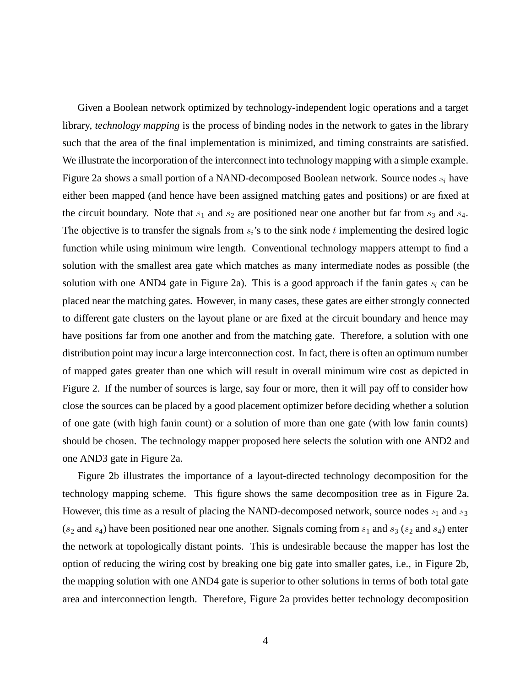Given a Boolean network optimized by technology-independent logic operations and a target library, *technology mapping* is the process of binding nodes in the network to gates in the library such that the area of the final implementation is minimized, and timing constraints are satisfied. We illustrate the incorporation of the interconnect into technology mapping with a simple example. Figure 2a shows a small portion of a NAND-decomposed Boolean network. Source nodes  $s_i$  have either been mapped (and hence have been assigned matching gates and positions) or are fixed at the circuit boundary. Note that  $s_1$  and  $s_2$  are positioned near one another but far from  $s_3$  and  $s_4$ . The objective is to transfer the signals from  $s_i$ 's to the sink node t implementing the desired logic function while using minimum wire length. Conventional technology mappers attempt to find a solution with the smallest area gate which matches as many intermediate nodes as possible (the solution with one AND4 gate in Figure 2a). This is a good approach if the fanin gates  $s_i$  can be placed near the matching gates. However, in many cases, these gates are either strongly connected to different gate clusters on the layout plane or are fixed at the circuit boundary and hence may have positions far from one another and from the matching gate. Therefore, a solution with one distribution point may incur a large interconnection cost. In fact, there is often an optimum number of mapped gates greater than one which will result in overall minimum wire cost as depicted in Figure 2. If the number of sources is large, say four or more, then it will pay off to consider how close the sources can be placed by a good placement optimizer before deciding whether a solution of one gate (with high fanin count) or a solution of more than one gate (with low fanin counts) should be chosen. The technology mapper proposed here selects the solution with one AND2 and one AND3 gate in Figure 2a.

Figure 2b illustrates the importance of a layout-directed technology decomposition for the technology mapping scheme. This figure shows the same decomposition tree as in Figure 2a. However, this time as a result of placing the NAND-decomposed network, source nodes  $s_1$  and  $s_3$ ( $s_2$  and  $s_4$ ) have been positioned near one another. Signals coming from  $s_1$  and  $s_3$  ( $s_2$  and  $s_4$ ) enter the network at topologically distant points. This is undesirable because the mapper has lost the option of reducing the wiring cost by breaking one big gate into smaller gates, i.e., in Figure 2b, the mapping solution with one AND4 gate is superior to other solutions in terms of both total gate area and interconnection length. Therefore, Figure 2a provides better technology decomposition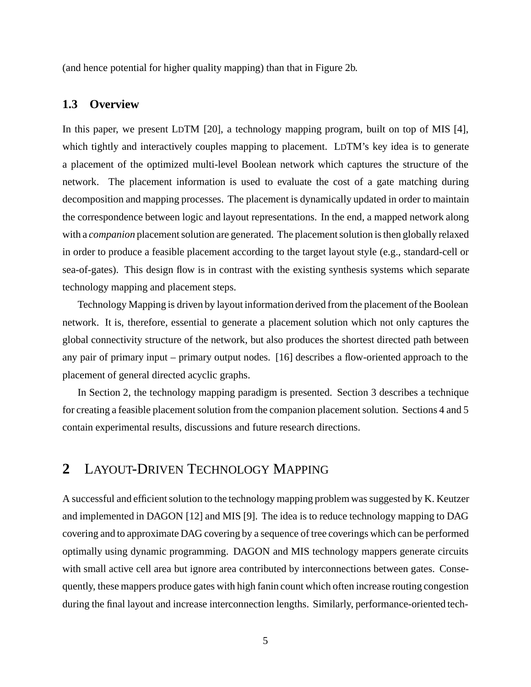(and hence potential for higher quality mapping) than that in Figure 2b.

#### **1.3 Overview**

In this paper, we present LDTM [20], a technology mapping program, built on top of MIS [4], which tightly and interactively couples mapping to placement. LDTM's key idea is to generate a placement of the optimized multi-level Boolean network which captures the structure of the network. The placement information is used to evaluate the cost of a gate matching during decomposition and mapping processes. The placement is dynamically updated in order to maintain the correspondence between logic and layout representations. In the end, a mapped network along with a *companion* placement solution are generated. The placement solution is then globally relaxed in order to produce a feasible placement according to the target layout style (e.g., standard-cell or sea-of-gates). This design flow is in contrast with the existing synthesis systems which separate technology mapping and placement steps.

Technology Mapping is driven by layout information derived from the placement of the Boolean network. It is, therefore, essential to generate a placement solution which not only captures the global connectivity structure of the network, but also produces the shortest directed path between any pair of primary input – primary output nodes. [16] describes a flow-oriented approach to the placement of general directed acyclic graphs.

In Section 2, the technology mapping paradigm is presented. Section 3 describes a technique for creating a feasible placement solution from the companion placement solution. Sections 4 and 5 contain experimental results, discussions and future research directions.

## **2** LAYOUT-DRIVEN TECHNOLOGY MAPPING

A successful and efficient solution to the technology mapping problem was suggested by K. Keutzer and implemented in DAGON [12] and MIS [9]. The idea is to reduce technology mapping to DAG covering and to approximate DAG covering by a sequence of tree coverings which can be performed optimally using dynamic programming. DAGON and MIS technology mappers generate circuits with small active cell area but ignore area contributed by interconnections between gates. Consequently, these mappers produce gates with high fanin count which often increase routing congestion during the final layout and increase interconnection lengths. Similarly, performance-oriented tech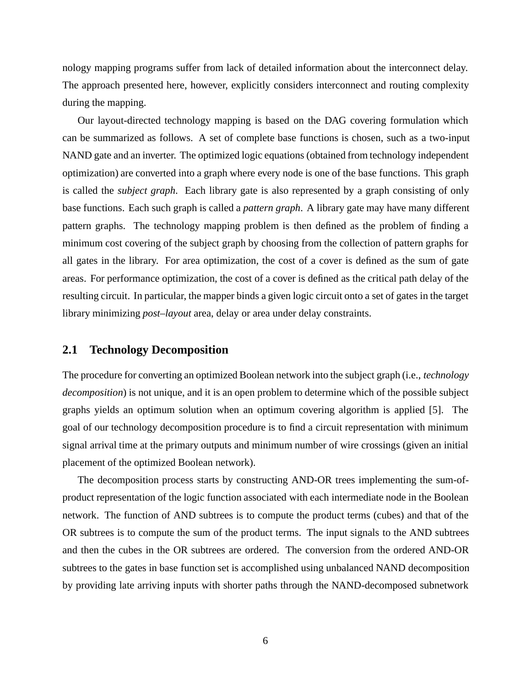nology mapping programs suffer from lack of detailed information about the interconnect delay. The approach presented here, however, explicitly considers interconnect and routing complexity during the mapping.

Our layout-directed technology mapping is based on the DAG covering formulation which can be summarized as follows. A set of complete base functions is chosen, such as a two-input NAND gate and an inverter. The optimized logic equations (obtained from technology independent optimization) are converted into a graph where every node is one of the base functions. This graph is called the *subject graph*. Each library gate is also represented by a graph consisting of only base functions. Each such graph is called a *pattern graph*. A library gate may have many different pattern graphs. The technology mapping problem is then defined as the problem of finding a minimum cost covering of the subject graph by choosing from the collection of pattern graphs for all gates in the library. For area optimization, the cost of a cover is defined as the sum of gate areas. For performance optimization, the cost of a cover is defined as the critical path delay of the resulting circuit. In particular, the mapper binds a given logic circuit onto a set of gates in the target library minimizing *post–layout* area, delay or area under delay constraints.

#### **2.1 Technology Decomposition**

The procedure for converting an optimized Boolean network into the subject graph (i.e., *technology decomposition*) is not unique, and it is an open problem to determine which of the possible subject graphs yields an optimum solution when an optimum covering algorithm is applied [5]. The goal of our technology decomposition procedure is to find a circuit representation with minimum signal arrival time at the primary outputs and minimum number of wire crossings (given an initial placement of the optimized Boolean network).

The decomposition process starts by constructing AND-OR trees implementing the sum-ofproduct representation of the logic function associated with each intermediate node in the Boolean network. The function of AND subtrees is to compute the product terms (cubes) and that of the OR subtrees is to compute the sum of the product terms. The input signals to the AND subtrees and then the cubes in the OR subtrees are ordered. The conversion from the ordered AND-OR subtrees to the gates in base function set is accomplished using unbalanced NAND decomposition by providing late arriving inputs with shorter paths through the NAND-decomposed subnetwork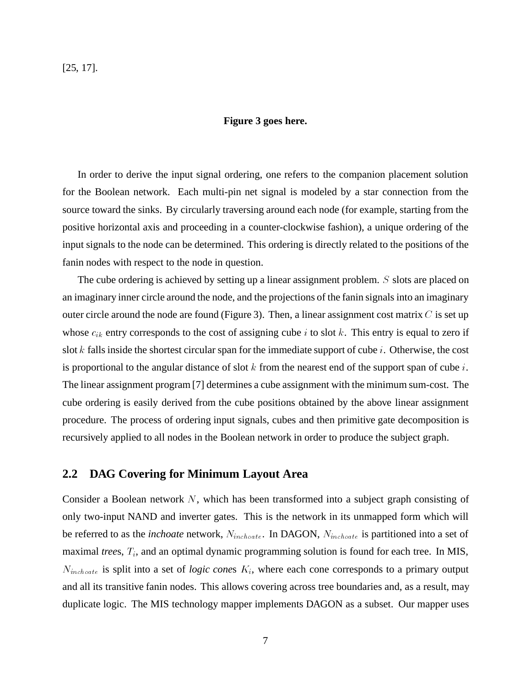#### [25, 17].

#### **Figure 3 goes here.**

In order to derive the input signal ordering, one refers to the companion placement solution for the Boolean network. Each multi-pin net signal is modeled by a star connection from the source toward the sinks. By circularly traversing around each node (for example, starting from the positive horizontal axis and proceeding in a counter-clockwise fashion), a unique ordering of the input signals to the node can be determined. This ordering is directly related to the positions of the fanin nodes with respect to the node in question.

The cube ordering is achieved by setting up a linear assignment problem. S slots are placed on an imaginary inner circle around the node, and the projections of the fanin signals into an imaginary outer circle around the node are found (Figure 3). Then, a linear assignment cost matrix  $C$  is set up whose  $c_{ik}$  entry corresponds to the cost of assigning cube i to slot k. This entry is equal to zero if slot k falls inside the shortest circular span for the immediate support of cube i. Otherwise, the cost is proportional to the angular distance of slot  $k$  from the nearest end of the support span of cube  $i$ . The linear assignment program [7] determines a cube assignment with the minimum sum-cost. The cube ordering is easily derived from the cube positions obtained by the above linear assignment procedure. The process of ordering input signals, cubes and then primitive gate decomposition is recursively applied to all nodes in the Boolean network in order to produce the subject graph.

#### **2.2 DAG Covering for Minimum Layout Area**

Consider a Boolean network  $N$ , which has been transformed into a subject graph consisting of only two-input NAND and inverter gates. This is the network in its unmapped form which will be referred to as the *inchoate* network,  $N_{inchode}$ . In DAGON,  $N_{inchode}$  is partitioned into a set of maximal *trees*,  $T_i$ , and an optimal dynamic programming solution is found for each tree. In MIS, Ninchoate is split into a set of *logic cone*s Ki, where each cone corresponds to a primary output and all its transitive fanin nodes. This allows covering across tree boundaries and, as a result, may duplicate logic. The MIS technology mapper implements DAGON as a subset. Our mapper uses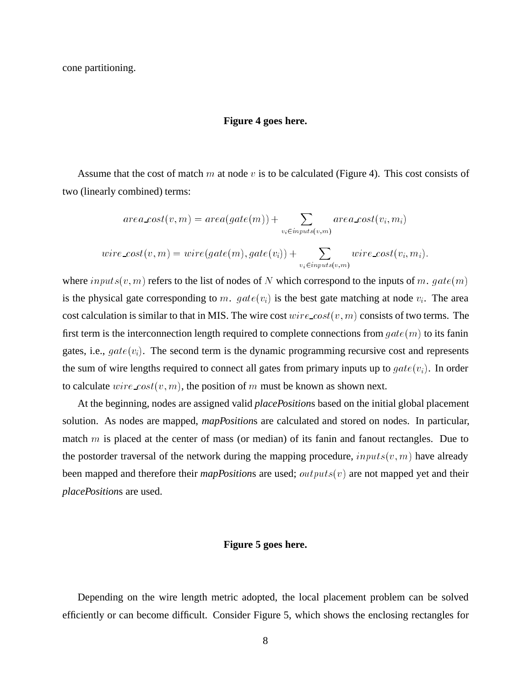cone partitioning.

#### **Figure 4 goes here.**

Assume that the cost of match m at node v is to be calculated (Figure 4). This cost consists of two (linearly combined) terms:

$$
area\_cost(v, m) = area(gate(m)) + \sum_{v_i \in inputs(v, m)} area\_cost(v_i, m_i)
$$

$$
wire\_cost(v, m) = wire(gate(m), gate(v_i)) + \sum_{v_i \in inputs(v, m)} wire\_cost(v_i, m_i).
$$

where  $inputs(v, m)$  refers to the list of nodes of N which correspond to the inputs of m.  $gate(m)$ is the physical gate corresponding to m.  $gate(v_i)$  is the best gate matching at node  $v_i$ . The area cost calculation is similar to that in MIS. The wire cost  $wire\_cost(v, m)$  consists of two terms. The first term is the interconnection length required to complete connections from  $gate(m)$  to its fanin gates, i.e.,  $gate(v_i)$ . The second term is the dynamic programming recursive cost and represents the sum of wire lengths required to connect all gates from primary inputs up to  $gate(v_i)$ . In order to calculate  $wire\_cost(v, m)$ , the position of m must be known as shown next.

At the beginning, nodes are assigned valid *placePosition*s based on the initial global placement solution. As nodes are mapped, *mapPosition*s are calculated and stored on nodes. In particular, match  $m$  is placed at the center of mass (or median) of its fanin and fanout rectangles. Due to the postorder traversal of the network during the mapping procedure,  $inputs(v, m)$  have already been mapped and therefore their *mapPositions* are used;  $outputs(v)$  are not mapped yet and their *placePosition*s are used.

#### **Figure 5 goes here.**

Depending on the wire length metric adopted, the local placement problem can be solved efficiently or can become difficult. Consider Figure 5, which shows the enclosing rectangles for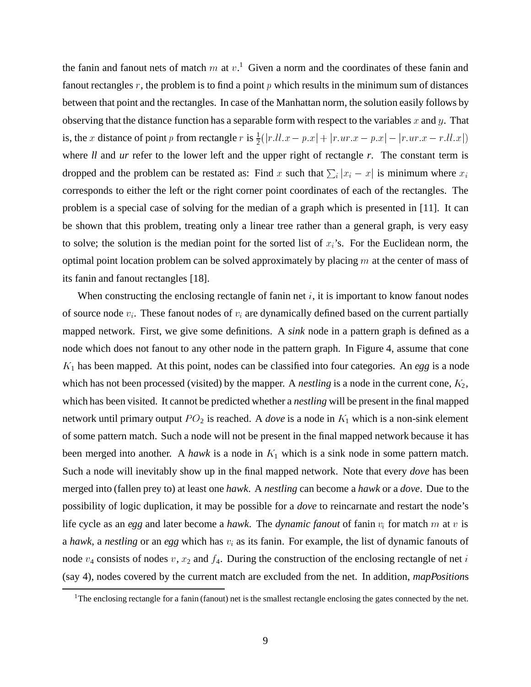the fanin and fanout nets of match m at  $v<sup>1</sup>$ . Given a norm and the coordinates of these fanin and fanout rectangles  $r$ , the problem is to find a point  $p$  which results in the minimum sum of distances between that point and the rectangles. In case of the Manhattan norm, the solution easily follows by observing that the distance function has a separable form with respect to the variables  $x$  and  $y$ . That is, the x distance of point p from rectangle r is  $\frac{1}{2}(|rll.x - p.x| + |r.ur.x - p.x| - |r.ur.x - r.ll.x|)$ where *ll* and *ur* refer to the lower left and the upper right of rectangle *r*. The constant term is dropped and the problem can be restated as: Find x such that  $\sum_i |x_i - x|$  is minimum where  $x_i$ corresponds to either the left or the right corner point coordinates of each of the rectangles. The problem is a special case of solving for the median of a graph which is presented in [11]. It can be shown that this problem, treating only a linear tree rather than a general graph, is very easy to solve; the solution is the median point for the sorted list of  $x_i$ 's. For the Euclidean norm, the optimal point location problem can be solved approximately by placing  $m$  at the center of mass of its fanin and fanout rectangles [18].

When constructing the enclosing rectangle of fanin net  $i$ , it is important to know fanout nodes of source node  $v_i$ . These fanout nodes of  $v_i$  are dynamically defined based on the current partially mapped network. First, we give some definitions. A *sink* node in a pattern graph is defined as a node which does not fanout to any other node in the pattern graph. In Figure 4, assume that cone  $K_1$  has been mapped. At this point, nodes can be classified into four categories. An *egg* is a node which has not been processed (visited) by the mapper. A *nestling* is a node in the current cone,  $K_2$ , which has been visited. It cannot be predicted whether a *nestling* will be present in the final mapped network until primary output  $PO_2$  is reached. A *dove* is a node in  $K_1$  which is a non-sink element of some pattern match. Such a node will not be present in the final mapped network because it has been merged into another. A *hawk* is a node in  $K_1$  which is a sink node in some pattern match. Such a node will inevitably show up in the final mapped network. Note that every *dove* has been merged into (fallen prey to) at least one *hawk*. A *nestling* can become a *hawk* or a *dove*. Due to the possibility of logic duplication, it may be possible for a *dove* to reincarnate and restart the node's life cycle as an *egg* and later become a *hawk*. The *dynamic fanout* of fanin  $v_i$  for match m at v is a *hawk*, a *nestling* or an *egg* which has  $v_i$  as its fanin. For example, the list of dynamic fanouts of node  $v_4$  consists of nodes  $v$ ,  $x_2$  and  $f_4$ . During the construction of the enclosing rectangle of net i (say 4), nodes covered by the current match are excluded from the net. In addition, *mapPosition*s

<sup>&</sup>lt;sup>1</sup>The enclosing rectangle for a fanin (fanout) net is the smallest rectangle enclosing the gates connected by the net.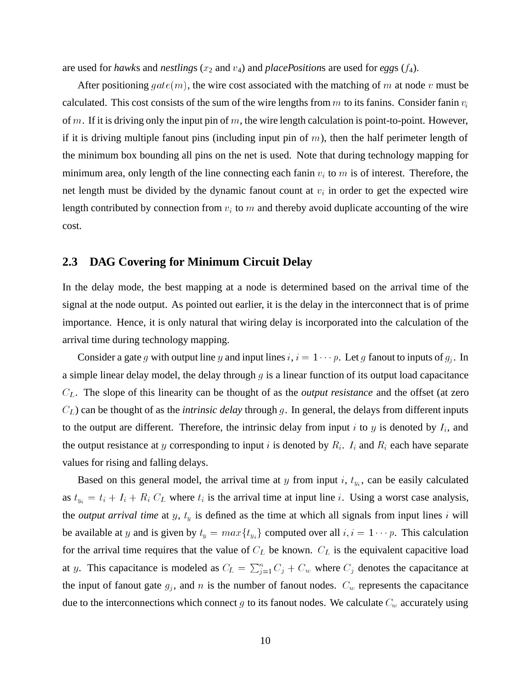are used for *hawks* and *nestlings* ( $x_2$  and  $v_4$ ) and *placePositions* are used for *eggs* ( $f_4$ ).

After positioning  $gate(m)$ , the wire cost associated with the matching of m at node v must be calculated. This cost consists of the sum of the wire lengths from m to its fanins. Consider fanin  $v_i$ of m. If it is driving only the input pin of m, the wire length calculation is point-to-point. However, if it is driving multiple fanout pins (including input pin of  $m$ ), then the half perimeter length of the minimum box bounding all pins on the net is used. Note that during technology mapping for minimum area, only length of the line connecting each fanin  $v_i$  to m is of interest. Therefore, the net length must be divided by the dynamic fanout count at  $v_i$  in order to get the expected wire length contributed by connection from  $v_i$  to m and thereby avoid duplicate accounting of the wire cost.

#### **2.3 DAG Covering for Minimum Circuit Delay**

In the delay mode, the best mapping at a node is determined based on the arrival time of the signal at the node output. As pointed out earlier, it is the delay in the interconnect that is of prime importance. Hence, it is only natural that wiring delay is incorporated into the calculation of the arrival time during technology mapping.

Consider a gate g with output line y and input lines  $i, i = 1 \cdots p$ . Let g fanout to inputs of  $g_i$ . In a simple linear delay model, the delay through  $g$  is a linear function of its output load capacitance CL. The slope of this linearity can be thought of as the *output resistance* and the offset (at zero  $C<sub>L</sub>$ ) can be thought of as the *intrinsic delay* through g. In general, the delays from different inputs to the output are different. Therefore, the intrinsic delay from input  $i$  to  $y$  is denoted by  $I_i$ , and the output resistance at y corresponding to input i is denoted by  $R_i$ .  $I_i$  and  $R_i$  each have separate values for rising and falling delays.

Based on this general model, the arrival time at y from input i,  $t_{y_i}$ , can be easily calculated as  $t_{y_i} = t_i + I_i + R_i$   $C_L$  where  $t_i$  is the arrival time at input line i. Using a worst case analysis, the *output arrival time* at y,  $t<sub>y</sub>$  is defined as the time at which all signals from input lines i will be available at y and is given by  $t_y = max\{t_{y_i}\}\)$  computed over all  $i, i = 1 \cdots p$ . This calculation for the arrival time requires that the value of  $C<sub>L</sub>$  be known.  $C<sub>L</sub>$  is the equivalent capacitive load at y. This capacitance is modeled as  $C_L = \sum_{j=1}^n C_j + C_w$  where  $C_j$  denotes the capacitance at the input of fanout gate  $g_j$ , and n is the number of fanout nodes.  $C_w$  represents the capacitance due to the interconnections which connect g to its fanout nodes. We calculate  $C_w$  accurately using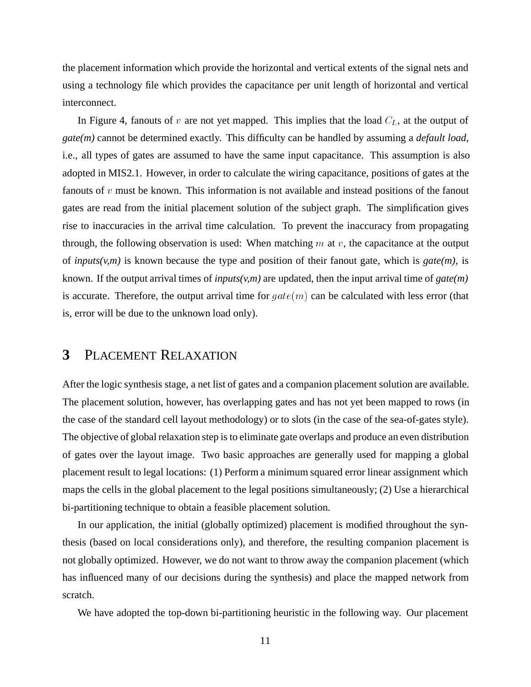the placement information which provide the horizontal and vertical extents of the signal nets and using a technology file which provides the capacitance per unit length of horizontal and vertical interconnect.

In Figure 4, fanouts of v are not yet mapped. This implies that the load  $C<sub>L</sub>$ , at the output of *gate(m)* cannot be determined exactly. This difficulty can be handled by assuming a *default load*, i.e., all types of gates are assumed to have the same input capacitance. This assumption is also adopted in MIS2.1. However, in order to calculate the wiring capacitance, positions of gates at the fanouts of  $v$  must be known. This information is not available and instead positions of the fanout gates are read from the initial placement solution of the subject graph. The simplification gives rise to inaccuracies in the arrival time calculation. To prevent the inaccuracy from propagating through, the following observation is used: When matching  $m$  at  $v$ , the capacitance at the output of *inputs(v,m)* is known because the type and position of their fanout gate, which is *gate(m)*, is known. If the output arrival times of *inputs(v,m)* are updated, then the input arrival time of *gate(m)* is accurate. Therefore, the output arrival time for  $gate(m)$  can be calculated with less error (that is, error will be due to the unknown load only).

### **3** PLACEMENT RELAXATION

After the logic synthesis stage, a net list of gates and a companion placement solution are available. The placement solution, however, has overlapping gates and has not yet been mapped to rows (in the case of the standard cell layout methodology) or to slots (in the case of the sea-of-gates style). The objective of global relaxation step is to eliminate gate overlaps and produce an even distribution of gates over the layout image. Two basic approaches are generally used for mapping a global placement result to legal locations: (1) Perform a minimum squared error linear assignment which maps the cells in the global placement to the legal positions simultaneously; (2) Use a hierarchical bi-partitioning technique to obtain a feasible placement solution.

In our application, the initial (globally optimized) placement is modified throughout the synthesis (based on local considerations only), and therefore, the resulting companion placement is not globally optimized. However, we do not want to throw away the companion placement (which has influenced many of our decisions during the synthesis) and place the mapped network from scratch.

We have adopted the top-down bi-partitioning heuristic in the following way. Our placement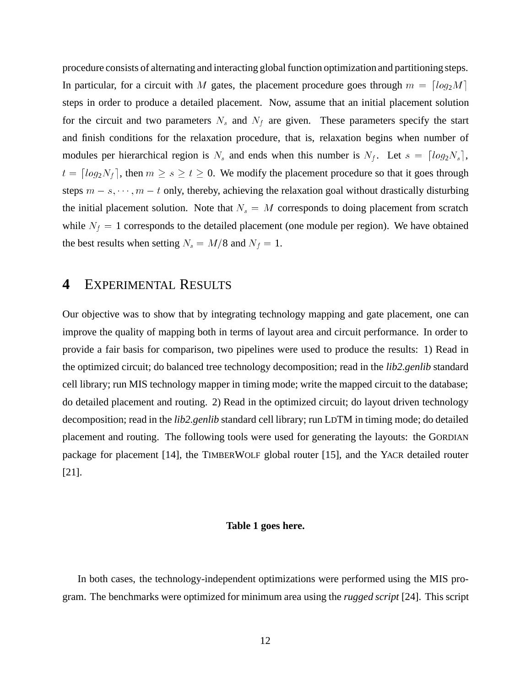procedure consists of alternating and interacting global function optimization and partitioning steps. In particular, for a circuit with M gates, the placement procedure goes through  $m = \lfloor log_2 M \rfloor$ steps in order to produce a detailed placement. Now, assume that an initial placement solution for the circuit and two parameters  $N_s$  and  $N_f$  are given. These parameters specify the start and finish conditions for the relaxation procedure, that is, relaxation begins when number of modules per hierarchical region is  $N_s$  and ends when this number is  $N_f$ . Let  $s = \lfloor log_2N_s \rfloor$ ,  $t = \lceil log_2N_f \rceil$ , then  $m \ge s \ge t \ge 0$ . We modify the placement procedure so that it goes through steps  $m - s, \dots, m - t$  only, thereby, achieving the relaxation goal without drastically disturbing the initial placement solution. Note that  $N_s = M$  corresponds to doing placement from scratch while  $N_f = 1$  corresponds to the detailed placement (one module per region). We have obtained the best results when setting  $N_s = M/8$  and  $N_f = 1$ .

## **4** EXPERIMENTAL RESULTS

Our objective was to show that by integrating technology mapping and gate placement, one can improve the quality of mapping both in terms of layout area and circuit performance. In order to provide a fair basis for comparison, two pipelines were used to produce the results: 1) Read in the optimized circuit; do balanced tree technology decomposition; read in the *lib2.genlib* standard cell library; run MIS technology mapper in timing mode; write the mapped circuit to the database; do detailed placement and routing. 2) Read in the optimized circuit; do layout driven technology decomposition; read in the *lib2.genlib* standard cell library; run LDTM in timing mode; do detailed placement and routing. The following tools were used for generating the layouts: the GORDIAN package for placement [14], the TIMBERWOLF global router [15], and the YACR detailed router [21].

#### **Table 1 goes here.**

In both cases, the technology-independent optimizations were performed using the MIS program. The benchmarks were optimized for minimum area using the *rugged script* [24]. This script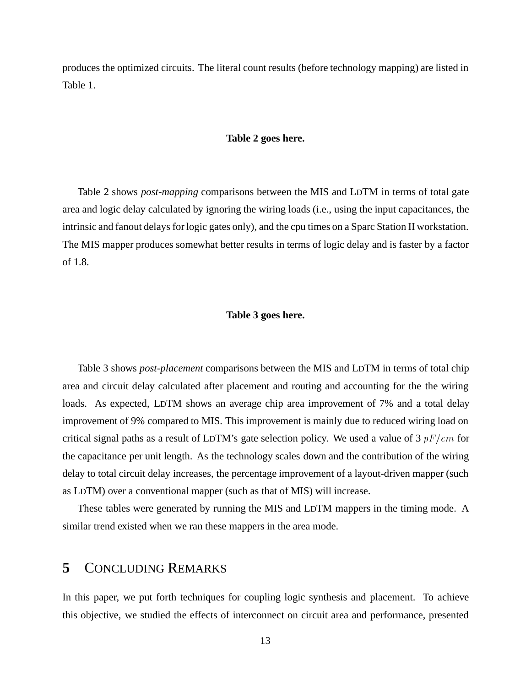produces the optimized circuits. The literal count results (before technology mapping) are listed in Table 1.

#### **Table 2 goes here.**

Table 2 shows *post-mapping* comparisons between the MIS and LDTM in terms of total gate area and logic delay calculated by ignoring the wiring loads (i.e., using the input capacitances, the intrinsic and fanout delays for logic gates only), and the cpu times on a Sparc Station II workstation. The MIS mapper produces somewhat better results in terms of logic delay and is faster by a factor of 1.8.

#### **Table 3 goes here.**

Table 3 shows *post-placement* comparisons between the MIS and LDTM in terms of total chip area and circuit delay calculated after placement and routing and accounting for the the wiring loads. As expected, LDTM shows an average chip area improvement of 7% and a total delay improvement of 9% compared to MIS. This improvement is mainly due to reduced wiring load on critical signal paths as a result of LDTM's gate selection policy. We used a value of 3  $pF/cm$  for the capacitance per unit length. As the technology scales down and the contribution of the wiring delay to total circuit delay increases, the percentage improvement of a layout-driven mapper (such as LDTM) over a conventional mapper (such as that of MIS) will increase.

These tables were generated by running the MIS and LDTM mappers in the timing mode. A similar trend existed when we ran these mappers in the area mode.

### **5** CONCLUDING REMARKS

In this paper, we put forth techniques for coupling logic synthesis and placement. To achieve this objective, we studied the effects of interconnect on circuit area and performance, presented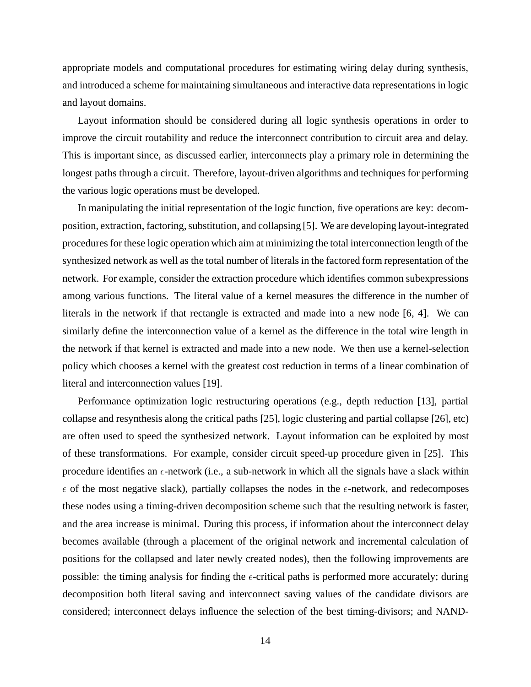appropriate models and computational procedures for estimating wiring delay during synthesis, and introduced a scheme for maintaining simultaneous and interactive data representations in logic and layout domains.

Layout information should be considered during all logic synthesis operations in order to improve the circuit routability and reduce the interconnect contribution to circuit area and delay. This is important since, as discussed earlier, interconnects play a primary role in determining the longest paths through a circuit. Therefore, layout-driven algorithms and techniques for performing the various logic operations must be developed.

In manipulating the initial representation of the logic function, five operations are key: decomposition, extraction, factoring, substitution, and collapsing [5]. We are developing layout-integrated procedures for these logic operation which aim at minimizing the total interconnection length of the synthesized network as well as the total number of literals in the factored form representation of the network. For example, consider the extraction procedure which identifies common subexpressions among various functions. The literal value of a kernel measures the difference in the number of literals in the network if that rectangle is extracted and made into a new node [6, 4]. We can similarly define the interconnection value of a kernel as the difference in the total wire length in the network if that kernel is extracted and made into a new node. We then use a kernel-selection policy which chooses a kernel with the greatest cost reduction in terms of a linear combination of literal and interconnection values [19].

Performance optimization logic restructuring operations (e.g., depth reduction [13], partial collapse and resynthesis along the critical paths [25], logic clustering and partial collapse [26], etc) are often used to speed the synthesized network. Layout information can be exploited by most of these transformations. For example, consider circuit speed-up procedure given in [25]. This procedure identifies an  $\epsilon$ -network (i.e., a sub-network in which all the signals have a slack within  $\epsilon$  of the most negative slack), partially collapses the nodes in the  $\epsilon$ -network, and redecomposes these nodes using a timing-driven decomposition scheme such that the resulting network is faster, and the area increase is minimal. During this process, if information about the interconnect delay becomes available (through a placement of the original network and incremental calculation of positions for the collapsed and later newly created nodes), then the following improvements are possible: the timing analysis for finding the  $\epsilon$ -critical paths is performed more accurately; during decomposition both literal saving and interconnect saving values of the candidate divisors are considered; interconnect delays influence the selection of the best timing-divisors; and NAND-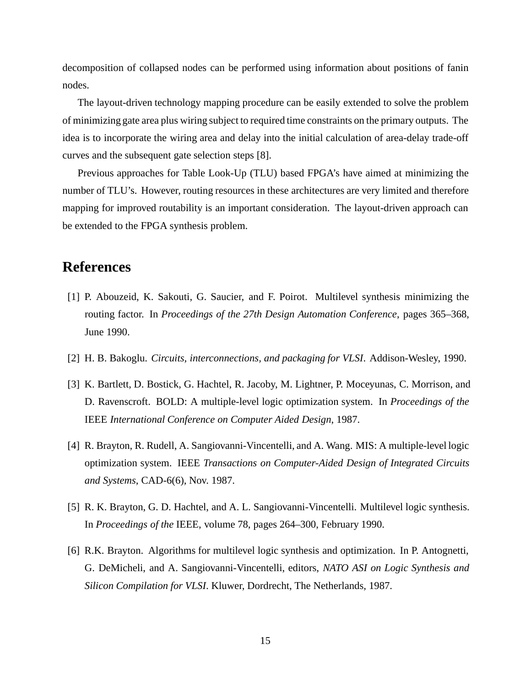decomposition of collapsed nodes can be performed using information about positions of fanin nodes.

The layout-driven technology mapping procedure can be easily extended to solve the problem of minimizing gate area plus wiring subject to required time constraints on the primary outputs. The idea is to incorporate the wiring area and delay into the initial calculation of area-delay trade-off curves and the subsequent gate selection steps [8].

Previous approaches for Table Look-Up (TLU) based FPGA's have aimed at minimizing the number of TLU's. However, routing resources in these architectures are very limited and therefore mapping for improved routability is an important consideration. The layout-driven approach can be extended to the FPGA synthesis problem.

## **References**

- [1] P. Abouzeid, K. Sakouti, G. Saucier, and F. Poirot. Multilevel synthesis minimizing the routing factor. In *Proceedings of the 27th Design Automation Conference*, pages 365–368, June 1990.
- [2] H. B. Bakoglu. *Circuits, interconnections, and packaging for VLSI*. Addison-Wesley, 1990.
- [3] K. Bartlett, D. Bostick, G. Hachtel, R. Jacoby, M. Lightner, P. Moceyunas, C. Morrison, and D. Ravenscroft. BOLD: A multiple-level logic optimization system. In *Proceedings of the* IEEE *International Conference on Computer Aided Design*, 1987.
- [4] R. Brayton, R. Rudell, A. Sangiovanni-Vincentelli, and A. Wang. MIS: A multiple-level logic optimization system. IEEE *Transactions on Computer-Aided Design of Integrated Circuits and Systems*, CAD-6(6), Nov. 1987.
- [5] R. K. Brayton, G. D. Hachtel, and A. L. Sangiovanni-Vincentelli. Multilevel logic synthesis. In *Proceedings of the* IEEE, volume 78, pages 264–300, February 1990.
- [6] R.K. Brayton. Algorithms for multilevel logic synthesis and optimization. In P. Antognetti, G. DeMicheli, and A. Sangiovanni-Vincentelli, editors, *NATO ASI on Logic Synthesis and Silicon Compilation for VLSI*. Kluwer, Dordrecht, The Netherlands, 1987.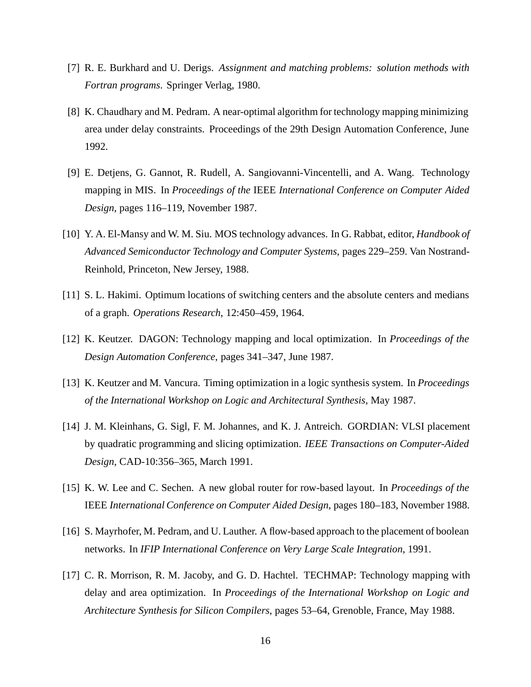- [7] R. E. Burkhard and U. Derigs. *Assignment and matching problems: solution methods with Fortran programs*. Springer Verlag, 1980.
- [8] K. Chaudhary and M. Pedram. A near-optimal algorithm for technology mapping minimizing area under delay constraints. Proceedings of the 29th Design Automation Conference, June 1992.
- [9] E. Detjens, G. Gannot, R. Rudell, A. Sangiovanni-Vincentelli, and A. Wang. Technology mapping in MIS. In *Proceedings of the* IEEE *International Conference on Computer Aided Design*, pages 116–119, November 1987.
- [10] Y. A. El-Mansy and W. M. Siu. MOS technology advances. In G. Rabbat, editor, *Handbook of Advanced Semiconductor Technology and Computer Systems*, pages 229–259. Van Nostrand-Reinhold, Princeton, New Jersey, 1988.
- [11] S. L. Hakimi. Optimum locations of switching centers and the absolute centers and medians of a graph. *Operations Research*, 12:450–459, 1964.
- [12] K. Keutzer. DAGON: Technology mapping and local optimization. In *Proceedings of the Design Automation Conference*, pages 341–347, June 1987.
- [13] K. Keutzer and M. Vancura. Timing optimization in a logic synthesis system. In *Proceedings of the International Workshop on Logic and Architectural Synthesis*, May 1987.
- [14] J. M. Kleinhans, G. Sigl, F. M. Johannes, and K. J. Antreich. GORDIAN: VLSI placement by quadratic programming and slicing optimization. *IEEE Transactions on Computer-Aided Design*, CAD-10:356–365, March 1991.
- [15] K. W. Lee and C. Sechen. A new global router for row-based layout. In *Proceedings of the* IEEE *International Conference on Computer Aided Design*, pages 180–183, November 1988.
- [16] S. Mayrhofer, M. Pedram, and U. Lauther. A flow-based approach to the placement of boolean networks. In *IFIP International Conference on Very Large Scale Integration*, 1991.
- [17] C. R. Morrison, R. M. Jacoby, and G. D. Hachtel. TECHMAP: Technology mapping with delay and area optimization. In *Proceedings of the International Workshop on Logic and Architecture Synthesis for Silicon Compilers*, pages 53–64, Grenoble, France, May 1988.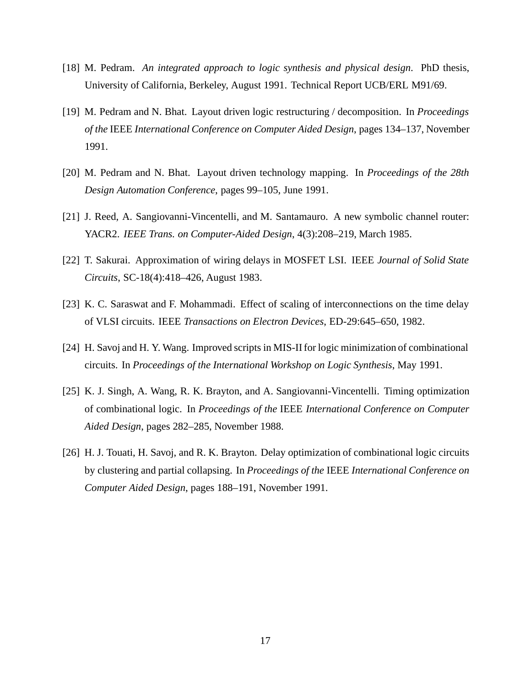- [18] M. Pedram. *An integrated approach to logic synthesis and physical design*. PhD thesis, University of California, Berkeley, August 1991. Technical Report UCB/ERL M91/69.
- [19] M. Pedram and N. Bhat. Layout driven logic restructuring / decomposition. In *Proceedings of the* IEEE *International Conference on Computer Aided Design*, pages 134–137, November 1991.
- [20] M. Pedram and N. Bhat. Layout driven technology mapping. In *Proceedings of the 28th Design Automation Conference*, pages 99–105, June 1991.
- [21] J. Reed, A. Sangiovanni-Vincentelli, and M. Santamauro. A new symbolic channel router: YACR2. *IEEE Trans. on Computer-Aided Design*, 4(3):208–219, March 1985.
- [22] T. Sakurai. Approximation of wiring delays in MOSFET LSI. IEEE *Journal of Solid State Circuits*, SC-18(4):418–426, August 1983.
- [23] K. C. Saraswat and F. Mohammadi. Effect of scaling of interconnections on the time delay of VLSI circuits. IEEE *Transactions on Electron Devices*, ED-29:645–650, 1982.
- [24] H. Savoj and H. Y. Wang. Improved scripts in MIS-II for logic minimization of combinational circuits. In *Proceedings of the International Workshop on Logic Synthesis*, May 1991.
- [25] K. J. Singh, A. Wang, R. K. Brayton, and A. Sangiovanni-Vincentelli. Timing optimization of combinational logic. In *Proceedings of the* IEEE *International Conference on Computer Aided Design*, pages 282–285, November 1988.
- [26] H. J. Touati, H. Savoj, and R. K. Brayton. Delay optimization of combinational logic circuits by clustering and partial collapsing. In *Proceedings of the* IEEE *International Conference on Computer Aided Design*, pages 188–191, November 1991.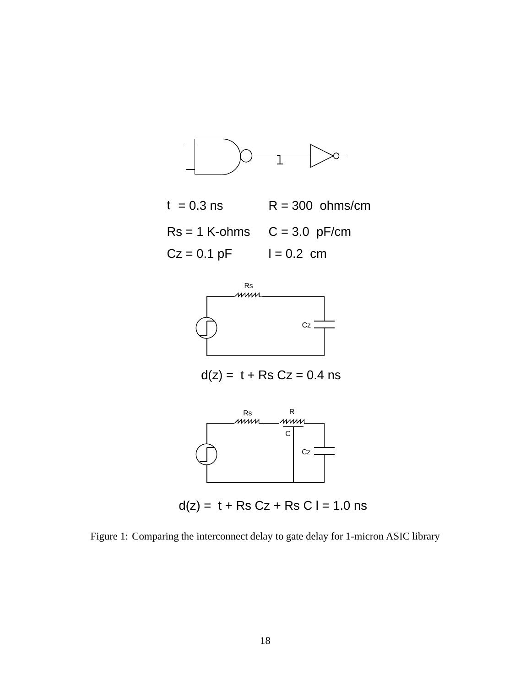

 $C = 3.0$  pF/cm  $Cz = 0.1$  pF  $R = 300$  ohms/cm  $Rs = 1$  K-ohms  $t = 0.3$  ns  $l = 0.2$  cm



 $d(z) = t + Rs Cz = 0.4 ns$ 



 $d(z) = t + Rs Cz + Rs C l = 1.0 ns$ 

Figure 1: Comparing the interconnect delay to gate delay for 1-micron ASIC library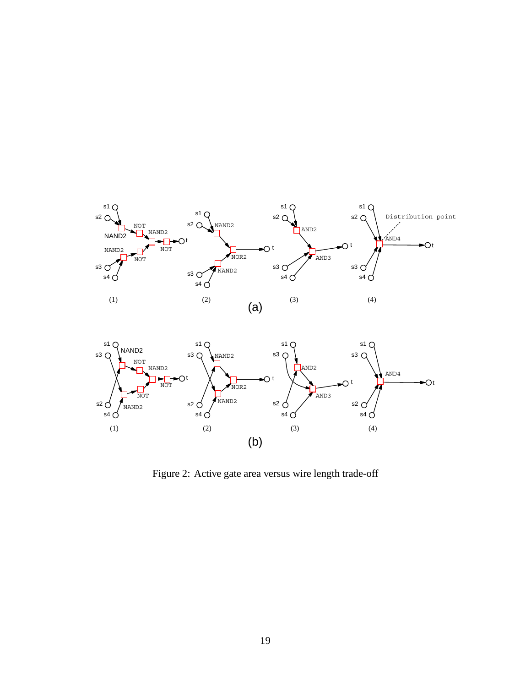



Figure 2: Active gate area versus wire length trade-off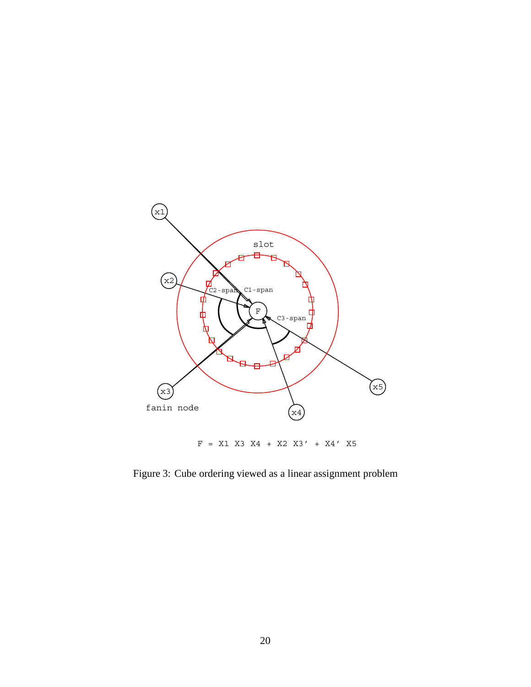

Figure 3: Cube ordering viewed as a linear assignment problem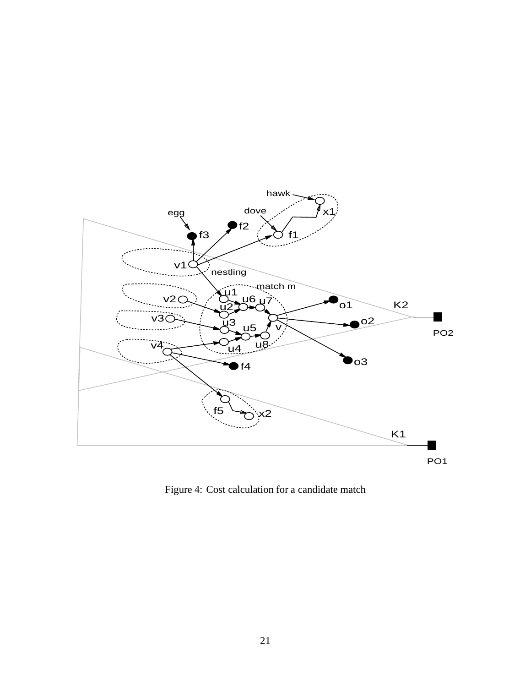

Figure 4: Cost calculation for a candidate match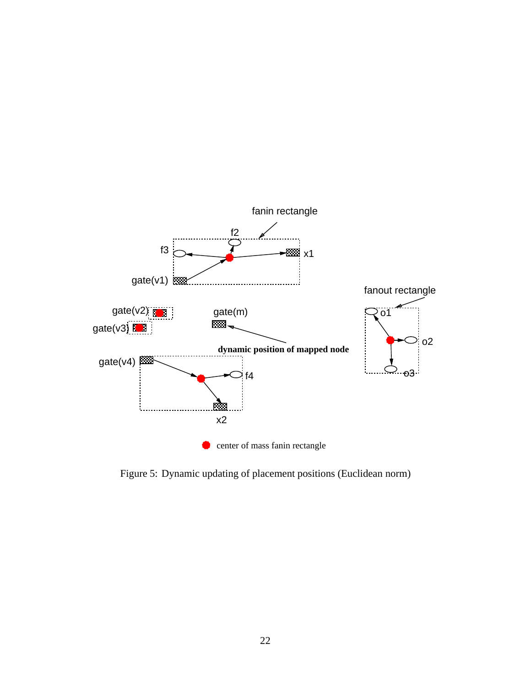

Figure 5: Dynamic updating of placement positions (Euclidean norm)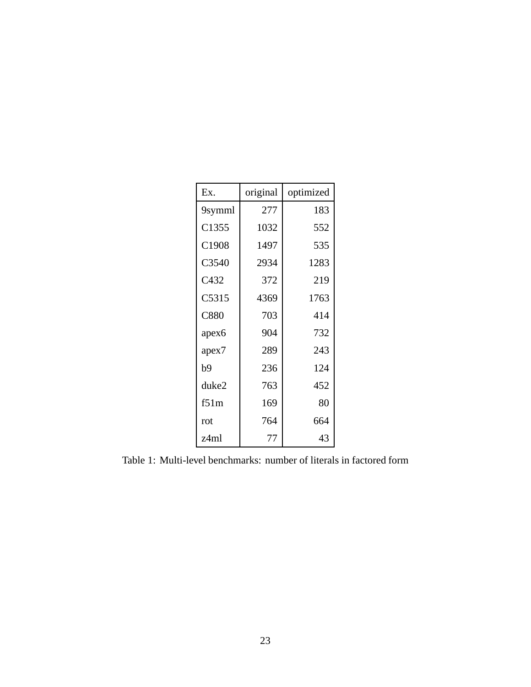| Ex.               | original | optimized |
|-------------------|----------|-----------|
| 9symml            | 277      | 183       |
| C1355             | 1032     | 552       |
| C1908             | 1497     | 535       |
| C3540             | 2934     | 1283      |
| C432              | 372      | 219       |
| C5315             | 4369     | 1763      |
| <b>C880</b>       | 703      | 414       |
| apex <sub>6</sub> | 904      | 732       |
| apex7             | 289      | 243       |
| b9                | 236      | 124       |
| duke2             | 763      | 452       |
| f51m              | 169      | 80        |
| rot               | 764      | 664       |
| z4ml              | 77       | 43        |

Table 1: Multi-level benchmarks: number of literals in factored form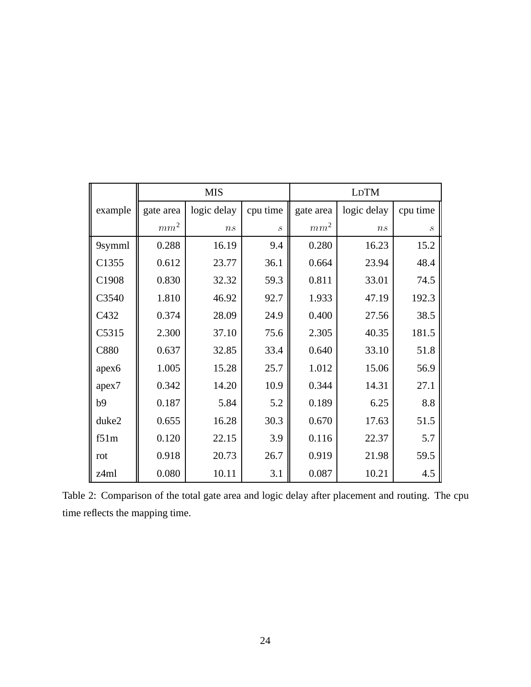|         |                 | <b>MIS</b>  |          |                 | <b>LDTM</b> |                             |
|---------|-----------------|-------------|----------|-----------------|-------------|-----------------------------|
| example | gate area       | logic delay | cpu time | gate area       | logic delay | cpu time                    |
|         | mm <sup>2</sup> | ns          | $\cal S$ | mm <sup>2</sup> | ns          | $\mathcal{S}_{\mathcal{S}}$ |
| 9symml  | 0.288           | 16.19       | 9.4      | 0.280           | 16.23       | 15.2                        |
| C1355   | 0.612           | 23.77       | 36.1     | 0.664           | 23.94       | 48.4                        |
| C1908   | 0.830           | 32.32       | 59.3     | 0.811           | 33.01       | 74.5                        |
| C3540   | 1.810           | 46.92       | 92.7     | 1.933           | 47.19       | 192.3                       |
| C432    | 0.374           | 28.09       | 24.9     | 0.400           | 27.56       | 38.5                        |
| C5315   | 2.300           | 37.10       | 75.6     | 2.305           | 40.35       | 181.5                       |
| C880    | 0.637           | 32.85       | 33.4     | 0.640           | 33.10       | 51.8                        |
| apex6   | 1.005           | 15.28       | 25.7     | 1.012           | 15.06       | 56.9                        |
| apex7   | 0.342           | 14.20       | 10.9     | 0.344           | 14.31       | 27.1                        |
| b9      | 0.187           | 5.84        | 5.2      | 0.189           | 6.25        | 8.8                         |
| duke2   | 0.655           | 16.28       | 30.3     | 0.670           | 17.63       | 51.5                        |
| f51m    | 0.120           | 22.15       | 3.9      | 0.116           | 22.37       | 5.7                         |
| rot     | 0.918           | 20.73       | 26.7     | 0.919           | 21.98       | 59.5                        |
| z4ml    | 0.080           | 10.11       | 3.1      | 0.087           | 10.21       | 4.5                         |

Table 2: Comparison of the total gate area and logic delay after placement and routing. The cpu time reflects the mapping time.